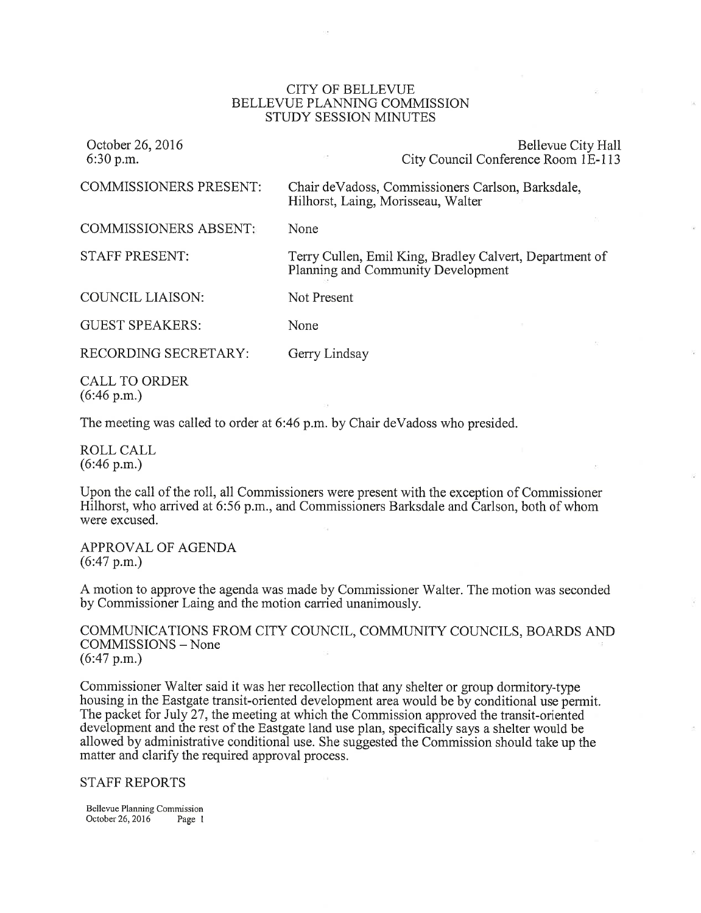## CITY OF BELLEVUE BELLEVUE PLANNING COMMISSION STUDY SESSION MINUTES

| October 26, 2016<br>$6:30$ p.m.        | Bellevue City Hall<br>City Council Conference Room 1E-113                                     |
|----------------------------------------|-----------------------------------------------------------------------------------------------|
| COMMISSIONERS PRESENT:                 | Chair de Vadoss, Commissioners Carlson, Barksdale,<br>Hilhorst, Laing, Morisseau, Walter      |
| COMMISSIONERS ABSENT:                  | None                                                                                          |
| STAFF PRESENT:                         | Terry Cullen, Emil King, Bradley Calvert, Department of<br>Planning and Community Development |
| COUNCIL LIAISON:                       | Not Present                                                                                   |
| <b>GUEST SPEAKERS:</b>                 | None                                                                                          |
| RECORDING SECRETARY:                   | Gerry Lindsay                                                                                 |
| CALL TO ORDER<br>$(6:46 \text{ p.m.})$ |                                                                                               |

The meeting was called to order at 6:46 p.m. by Chair deVadoss who presided.

ROLL CALL (6:46 p.m.)

Upon the call of the roll, all Commissioners were present with the exception of Commissioner Hilhorst, who arrived at 6:56 p.m., and Commissioners Barksdale and Carlson, both of whom were excused.

APPROVAL OF AGENDA (6:47 p.m.)

A motion to approve the agenda was made by Commissioner Walter. The motion was seconded by Commissioner Laing and the motion carried unanimously.

COMMUNICATIONS FROM CITY COUNCIL, COMMUNITY COUNCILS, BOARDS AND COMMISSIONS - None (6:47 p.m.)

Commissioner Walter said it was her recollection that any shelter or group dormitory-type housing in the Eastgate transit-oriented development area would be by conditional use permit. The packet for July 27, the meeting at which the Commission approved the transit-oriented development and the rest of the Eastgate land use plan, specificaily says a shelter would be allowed by administrative conditional use. She suggested the Commission should take up the matter and clarify the required approval process.

STAFF REPORTS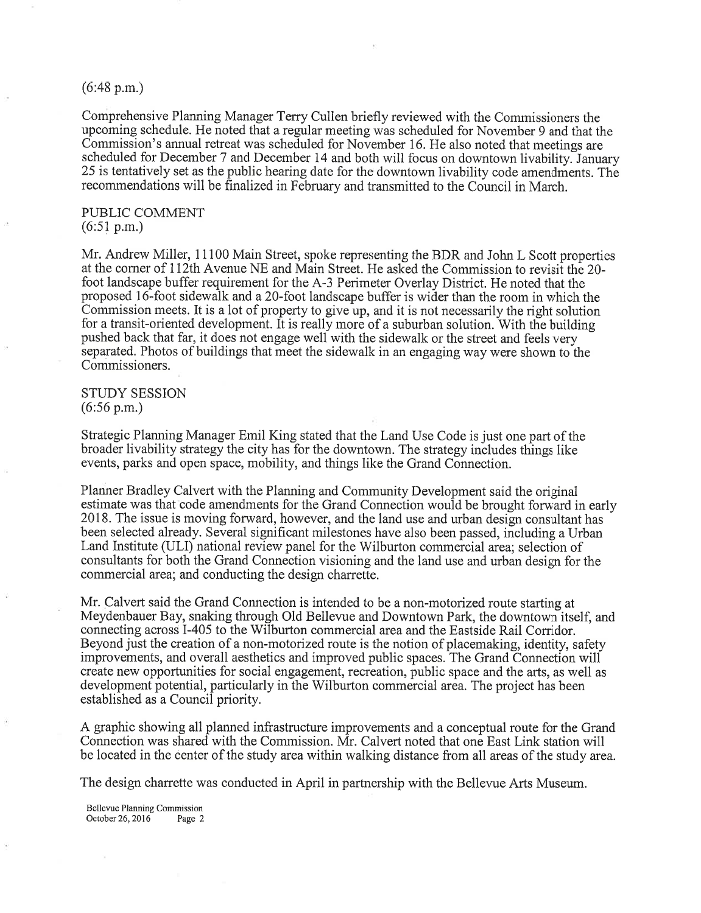#### (6:48 p.m.)

Comprehensive Planning Manager Terry Cullen briefly reviewed with the Commissioners the upcoming schedule. He noted that a regular meeting was scheduled for November 9 and that the Commission's annual retreat was scheduled for November 16. He also noted that meetings are scheduled for December 7 and December 14 and both will focus on downtown livability. January 25 is tentatively set as the public hearing date for the downtown livability code amendments. The recommendations will be finalized in February and transmitted to the Council in March.

## PUBLIC COMMENT (6:51 p.m.)

Mr. Andrew Miller, 11100 Main Street, spoke representing the BDR and John L Scott properties at the corner of 112th Avenue NE and Main Street. He asked the Commission to revisit the 20foot landscape buffer requirement for the A-3 Perimeter Overlay District. He noted that the proposed 16-foot sidewalk and a 20-foot landscape buffer is wider than the room in which the Commission meets. It is a lot of property to give up, and it is not necessarily the right solution for a transit-oriented development. It is really more of a suburban solution. With the building pushed back that far, it does not engage well with the sidewalk or the street and feels very separated. Photos of buildings that meet the sidewalk in an engaging way were shown to the Commissioners.

# STUDY SESSION (6:56 p.m.)

Strategic Planning Manager Emil King stated that the Land Use Code is just one part of the broader livability strategy the city has for the downtown. The strategy includes things like events, parks and open space, mobility, and things like the Grand Connection.

Planner Bradley Calvert with the Planning and Community Development said the original estimate was that code amendments for the Grand Connection would be brought forward in early 2018. The issue is moving forward, however, and the land use and urban design consultant has been selected already. Several significant milestones have also been passed, including a Urban Land Institute (ULI) national review panel for the Wilburton commercial area; selection of consultants for both the Grand Connection visioning and the land use and urban design for the commercial area; and conducting the design charrette.

Mr. Calvert said the Grand Connection is intended to be a non-motorized route starting at Meydenbauer Bay, snaking through Old Bellevue and Downtown Park, the downtown itself, and connecting across I-405 to the Wilburton commercial area and the Eastside Rail Corridor. Beyond just the creation of a non-motorized route is the notion of placemaking, identity, safety improvements, and overall aesthetics and improved public spaces. The Grand Connection will create new opporlunities for social engagement, recreation, public space and the arts, as well as development potential, particularly in the Wilburton commercial area. The project has been established as a Council priority.

A graphic showing all planned infrastructure improvements and a conceptual route for the Grand Connection was shared with the Commission. Mr. Calvert noted that one East Link station will be located in the center of the study area within walking distance from all areas of the study area.

The design charrette was conducted in April in partnership with the Bellevue Arts Museum.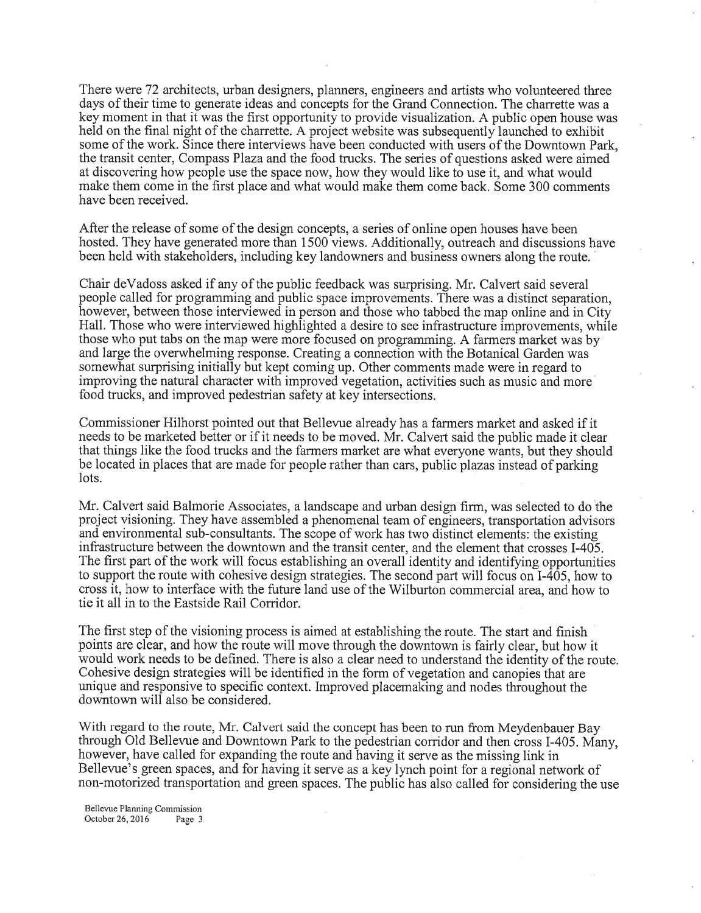There were 72 architects, urban designers, planners, engineers and artists who volunteered three days of their time to generate ideas and concepts for the Grand Connection. The charrette was <sup>a</sup> key moment in that it was the first opportunity to provide visualization. A public open house was held on the final night of the charrette. A project website was subsequently launched to exhibit some of the work. Since there interviews have been conducted with users of the Downtown Park, the transit center, Compass PIaza and the food trucks. The series of questions asked were aimed at discovering how people use the space now, how they would like to use it, and what would make them come in the first place and what would make them come back. Some 300 comments have been received.

After the release of some of the design concepts, a series of online open houses have been hosted. They have generated more than 1500 views. Additionally, outreach and discussions have been held with stakeholders, including key landowners and business owners along the route.

Chair deVadoss asked if any of the public feedback was surprising. Mr. Calvert said several people called for programming and public space improvements. There was a distinct separation, however, between those interviewed in person and those who tabbed the map online and in City Hall. Those who were interviewed highlighted a desire to see infrastructure improvements, while those who put tabs on the map were more focused on programming. A farmers market was by and large the overwhelming response. Creating a connection with the Botanical Garden was somewhat surprising initially but kept coming up. Other comments made were in regard to improving the natural character with improved vegetation, activities such as music and more food trucks, and improved pedestrian safety at key intersections.

Commissioner Hilhorst pointed out that Bellevue already has a farmers market and asked if it needs to be marketed better or if it needs to be moved. Mr. Calvert said the public made it clear that things like the food trucks and the farmers market are what everyone wants, but they should be located in places that are made for people rather than cars, public plazas instead of parking lots.

Mr. Calvert said Balmorie Associates, a landscape and urban design firm, was selected to do the project visioning. They have assembled a phenomenal team of engineers, transportation advisors and environmental sub-consultants. The scope of work has two distinct elements: the existing infrastructure between the downtown and the transit center, and the element that crosses I-405. The first part of the work will focus establishing an overall identity and identifying opportunities to support the route with cohesive design strategies. The second part will focus on I-405, how to cross it, how to interface with the future land use of the Wilburton commercial area, and how to tie it all in to the Eastside Rail Corridor.

The first step of the visioning process is aimed at establishing the route. The start and finish points are clear, and how the route will move through the downtown is fairly clear, but how it would work needs to be defined. There is also a clear need to understand the identity of the route. Cohesive design strategies will be identified in the form of vegetation and canopies that are unique and responsive to specific context. Improved placemaking and nodes throughout the downtown will also be considered.

With regard to the route, Mr. Calvert said the concept has been to run from Meydenbauer Bay through Old Bellevue and Downtown Park to the pedestrian corridor and then cross I-405. Many, however, have called for expanding the route and having it serve as the missing link in Bellevue's green spaces, and for having it serve as a key lynch point for a regional network of non-motorized transportation and green spaces. The public has also called for considering the use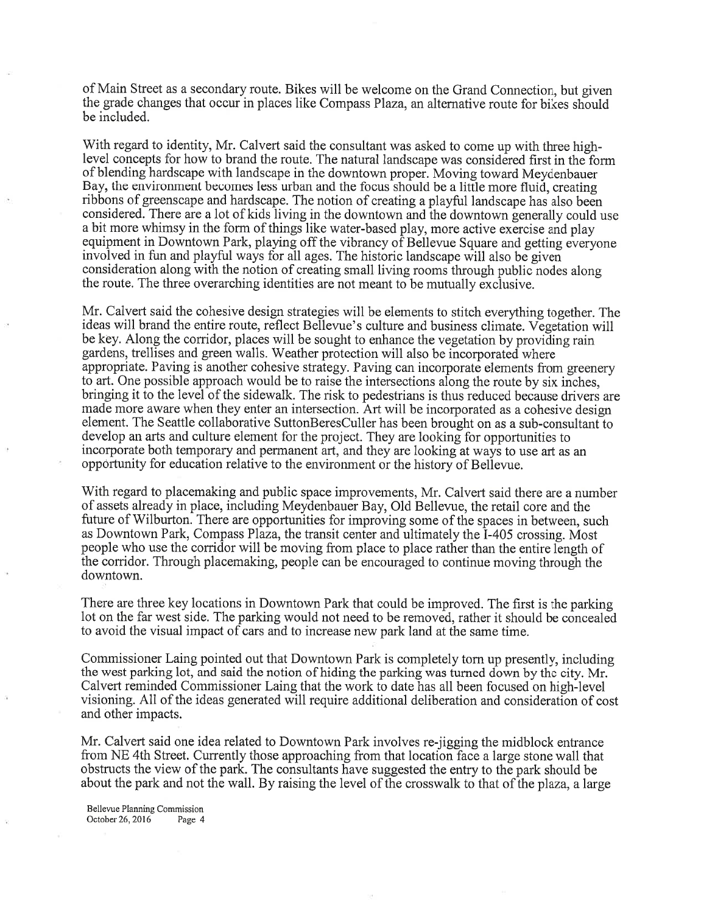of Main Street as a secondary route. Bikes will be welcome on the Grand Connection, but given the grade changes that occur in places like Compass Plaza, an alternative route for bikes should be included.

With regard to identity, Mr. Calvert said the consultant was asked to come up with three highlevel concepts for how to brand the route. The natural landscape was considered first in the form of blending hardscape with landscape in the downtown proper. Moving toward Meydenbauer Bay, the environment becomes less urban and the focus should be a little more fluid, creating ribbons of greenscape and hardscape. The notion of creating a playful landscape has also been considered. There are a lot of kids living in the downtown and the downtown generally could use <sup>a</sup>bit more whimsy in the form of things like water-based play, more active exercise and play equipment in Downtown Park, playing off the vibrancy of Bellevue Square and getting everyone involved in fun and playful ways for all ages. The historic landscape will also be given consideration along with the notion of creating small living rooms through public nodes along the route. The three overarching identities are not meant to be mutually exclusive.

Mr. Calvert said the cohesive design strategies will be elements to stitch everything together. The ideas will brand the entire route, reflect Bellevue's culture and business climate. Vegetation will be key. Along the corridor, places will be sought to enhance the vegetation by providing rain gardens, trellises and green walls. Weather protection will also be incorporated where appropriate. Paving is another cohesive strategy. Paving can incorporate elements from greenery to art, One possible approach would be to raise the intersections along the route by six inches, bringing it to the level of the sidewalk. The risk to pedestrians is thus reduced because drivers are made more aware when they enter an intersection. Art will be incorporated as a cohesive design element. The Seattle collaborative SuttonBeresCuller has been brought on as a sub-consultant to develop an arts and culture element for the project. They are looking for opportunities to incorporate both temporary and permanent art, and they are looking at ways to use art as an opportunity for education relative to the environment or the history of Bellevue.

With regard to placemaking and public space improvements, Mr. Calvert said there are a number of assets already in place, including Meydenbauer Bay, Old Bellevue, the retail core and the future of Wilburton. There are opportunities for improving some of the spaces in between, such as Downtown Park, Compass Plaza, the transit center and ultimately the I-405 crossing. Most people who use the corridor will be moving from place to place rather than the entire length of the corridor. Through placemaking, people can be encouraged to continue moving through the downtown.

There are three key locations in Downtown Park that could be improved. The first is the parking lot on the far west side. The parking would not need to be removed, rather it should be concealed to avoid the visual impact of cars and to increase new park land at the same time.

Commissioner Laing pointed out that Downtown Park is completely torn up presently, including the west parking lot, and said the notion of hiding the parking was turned down by the city. Mr. Calvert reminded Commissioner Laing that the work to date has all been focused on high-level visioning. All of the ideas generated will require additional deliberation and consideration of cost and other impacts.

Mr. Calvert said one idea related to Downtown Park involves re-jigging the midblock entrance from NE 4th Street. Currently those approaching from that location face a large stone wall that obstructs the view of the park. The consultants have suggested the entry to the park should be about the park and not the wall. By raising the level of the crosswalk to that of the plaza, a large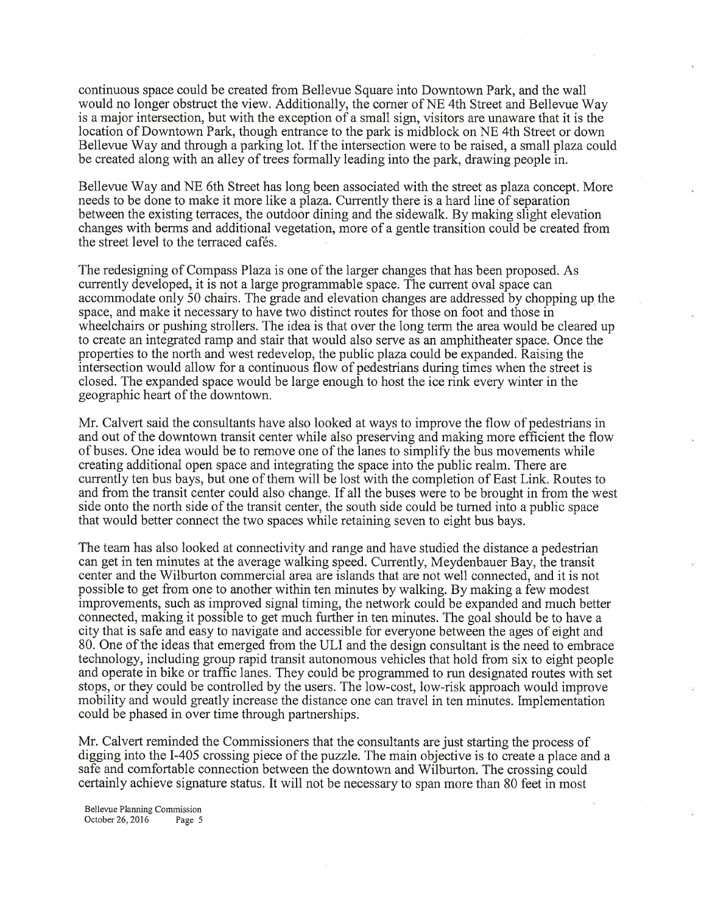continuous space could be created from Bellevue Square into Downtown Park, and the wall would no longer obstruct the view. Additionally, the corner of NE 4th Street and Bellevue Way is a major intersection, but with the exception of a small sign, visitors are unaware that it is the location of Downtown Park, though entrance to the park is midblock on NE 4th Street or down Bellevue Way and through a parking lot. If the intersection were to be raised, a small plaza could be created along with an alley of trees formally leading into the park, drawing people in.

Bellevue Way and NE 6th Street has long been associated with the street as plaza concept. More needs to be done to make it more like a plaza. Currently there is a hard line of separation between the existing terraces, the outdoor dining and the sidewalk. By making slight elevation changes with berms and additional vegetation, more of a gentle transition could be created from the street level to the terraced cafés.

The redesigning of Compass Plaza is one of the larger changes that has been proposed. As currently developed, it is not alarge programmable space. The current oval space can accommodate only 50 chairs. The grade and elevation changes are addressed by chopping up the space, and make it necessary to have two distinct routes for those on foot and those in wheelchairs or pushing strollers. The idea is that over the long term the area would be cleared up to create an integrated ramp and stair that would also serve as an amphitheater space. Once the properties to the north and west redevelop, the public plaza could be expanded. Raising the intersection would allow for a continuous flow of pedestrians during times when the street is closed. The expanded space would be large enough to host the ice rink every winter in the geographic heart of the downtown.

Mr. Calvert said the consultants have also looked at ways to improve the flow of pedestrians in and out of the downtown transit center while also preserving and making more efficient the flow of buses. One idea would be to remove one of the lanes to simplify the bus movements while creating additional open space and integrating the space into the public realm. There are currently ten bus bays, but one of them will be lost with the completion of East Link. Routes to and from the transit center could also change. If all the buses were to be brought in from the west side onto the north side of the transit center, the south side could be turned into a public space that would better connect the two spaces while retaining seven to eight bus bays.

The team has also looked at connectivity and range and have studied the distance a pedestrian can get in ten minutes at the average walking speed. Currently, Meydenbauer Bay, the transit center and the Wilburton commercial area are islands that are not well connected, and it is not possible to get from one to another within ten minutes by walking. By making a few modest improvements, such as improved signal timing, the network could be expanded and much better connected, making it possible to get much further in ten minutes. The goal should be to have <sup>a</sup> city that is safe and easy to navigate and accessible for everyone between the ages of eight and 80. One of the ideas that emerged from the ULI and the design consultant is the need to embrace technology, including group rapid transit autonomous vehicles that hold from six to eight people and operate in bike or traffic lanes. They could be programmed to run designated routes with set stops, or they could be controlled by the users. The low-cost, low-risk approach would improve mobility and would greatly increase the distance one can travel in ten minutes. Implementation could be phased in over time through partnerships.

Mr. Calvert reminded the Commissioners that the consultants are just starting the process of digging into the I-405 crossing piece of the puzzle. The main objective is to create a place and <sup>a</sup> safe and comfortable connection between the downtown and Wilburton. The crossing could certainly achieve signafure stafus. It will not be necessary to span more than 80 feet in most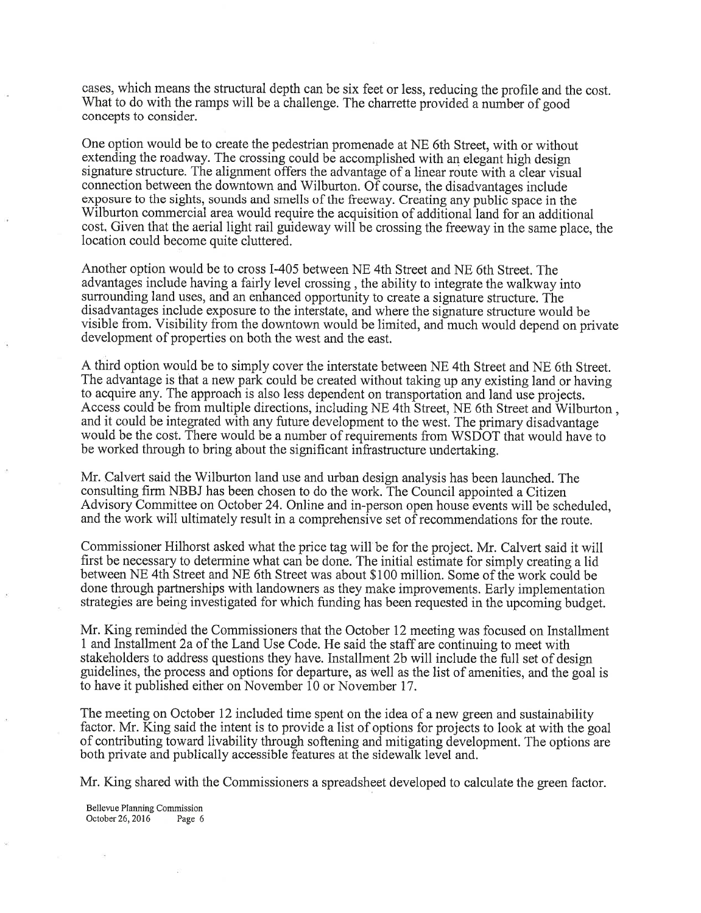cases, which means the structural depth can be six feet or less, reducing the profile and the cost. What to do with the ramps will be a challenge. The charrette provided a number of good concepts to consider.

One option would be to create the pedestrian promenade at NE 6th Street, with or without extending the roadway. The crossing could be accomplished with an elegant high design signature structure. The alignment offers the advantage of a linear route with a clear visual connection between the downtown and Wilburton. Of course, the disadvantages include exposure to the sights, sounds and smells of the freeway. Creating any public space in the Wilburton commercial area would require the acquisition of additional land for an additional cost. Given that the aerial light rail guideway will be crossing the freeway in the same place, the location could become quite cluttered.

Another option would be to cross I-405 between NE 4th Street and NE 6th Street. The advantages include having a fairly level crossing, the ability to integrate the walkway into surrounding land uses, and an enhanced opportunity to create a signature structure. The disadvantages include exposure to the interstate, and where the signature structure would be visible from. Visibility from the downtown would be limited, and much would depend on private development of properties on both the west and the east.

A third option would be to simply cover the interstate between NE 4th Street and NE 6th Street. The advantage is that a new park could be created without taking up any existing land or having to acquire any. The approach is also less dependent on transportation and land use projects. Access could be from multiple directions, including NE 4th Street, NE 6th Street and Wilburton , and it could be integrated with any future development to the west. The primary disadvantage would be the cost. There would be a number of requirements from WSDOT that would have to be worked through to bring about the significant infrastructure undertaking.

Mr. Calvert said the Wilburton land use and urban design analysis has been launched. The consulting firm NBBJ has been chosen to do the work. The Council appointed a Citizen Advisory Committee on October 24. Online and in-person open house events will be scheduled, and the work will ultimately result in a comprehensive set of recommendations for the route.

Commissioner Hilhorst asked what the price tag will be for the project. Mr. Calvert said it will first be necessary to determine what can be done. The initial estimate for simply creating a lid between NE 4th Street and NE 6th Street was about \$100 million. Some of the work could be done through partnerships with landowners as they make improvements. Early implementation strategies are being investigated for which funding has been requested in the upcoming budget.

Mr. King reminded the Commissioners that the October 12 meeting was focused on Installment <sup>1</sup>and Installment 2a of the Land Use Code. He said the staff are continuing to meet with stakeholders to address questions they have. Installment 2b will include the full set of design guidelines, the process and options for departure, as well as the list of amenities, and the goal is to have it published either on November 10 or November 17.

The meeting on October 12 included time spent on the idea of a new green and sustainability factor. Mr. King said the intent is to provide a list of options for projects to look at with the goal of contributing toward livability through softening and mitigating development. The options are both private and publically accessible features at the sidewalk level and.

Mr. King shared with the Commissioners a spreadsheet developed to calculate the green factor.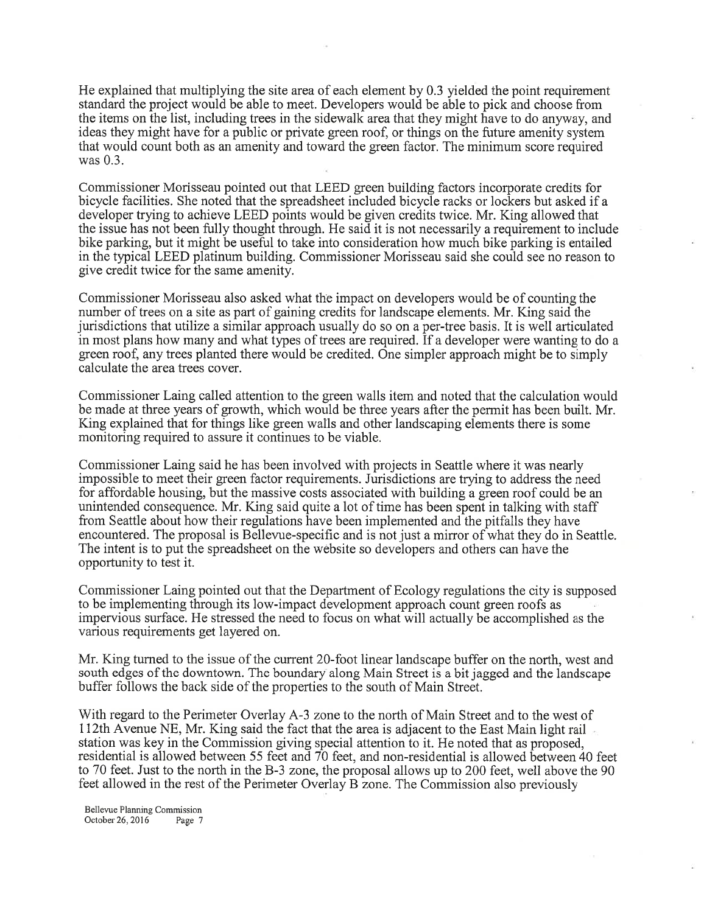He explained that multiplying the site area of each element by 0.3 yielded the point requirement standard the project would be able to meet. Developers would be able to pick and choose from the items on the list, including trees in the sidewalk arcathat they might have to do anyway, and ideas they might have for a public or private green roof, or things on the future amenity system that would count both as an amenity and toward the green factor. The minimum score required was 0.3.

Commissioner Morisseau pointed out that LEED green building factors incorporate credits for bicycle facilities. She noted that the spreadsheet included bicycle racks or lockers but asked if <sup>a</sup> developer trying to achieve LEED points would be given credits twice. Mr. King allowed that the issue has not been fully thought through. He said it is not necessarily a requirement to include bike parking, but it might be useful to take into consideration how much bike parking is entailed in the typical LEED platinum building. Commissioner Morisseau said she could see no reason to give credit twice for the same amenity.

Commissioner Morisseau also asked what the impact on developers would be of counting the number of trees on a site as part of gaining credits for landscape elements. Mr. King said the jurisdictions that utilize a similar approach usually do so on a per-tree basis. It is well articulated in most plans how many and what types of trees are required. If a developer were wanting to do <sup>a</sup> green roof, any trees planted there would be credited. One simpler approach might be to simply calculate the area trees cover.

Commissioner Laing called attention to the green walls item and noted that the calculation would be made at three years of growth, which would be three years after the permit has been built. Mr. King explained that for things like green walls and other landscaping elements there is some monitoring required to assure it continues to be viable.

Commissioner Laing said he has been involved with projects in Seattle where it was nearly impossible to meet their green factor requirements. Jurisdictions are trying to address the need for affordable housing, but the massive costs associated with building a green roof could be an unintended consequence. Mr. King said quite a lot of time has been spent in talking with staff from Seattle about how their regulations have been implemented and the pitfalls they have encountered. The proposal is Bellevue-specific and is not just a mirror of what they do in Seattle. The intent is to put the spreadsheet on the website so developers and others can have the opportunity to test it.

Commissioner Laing pointed out that the Department of Ecology regulations the city is supposed to be implementing through its low-impact development approach count green roofs as impervious surface. He stressed the need to focus on what will actually be accomplished as the various requirements get layered on.

Mr. King turned to the issue of the current 2O-foot linear landscape buffer on the north, west and south edges of the downtown. The boundary along Main Street is a bit jagged and the landscape buffer follows the back side of the properties to the south of Main Street.

With regard to the Perimeter Overlay A-3 zone to the north of Main Street and to the west of ll2thAvenue NE, Mr. King said the fact that the area is adjacent to the East Main light rail station was key in the Commission giving special attention to it. He noted that as proposed, residential is allowed between 55 feet and  $70$  feet, and non-residential is allowed between 40 feet to 70 feet. Just to the north in the B-3 zone, the proposal allows up to 200 feet, well above the <sup>90</sup> feet allowed in the rest of the Perimeter Overlay B zone. The Commission also previously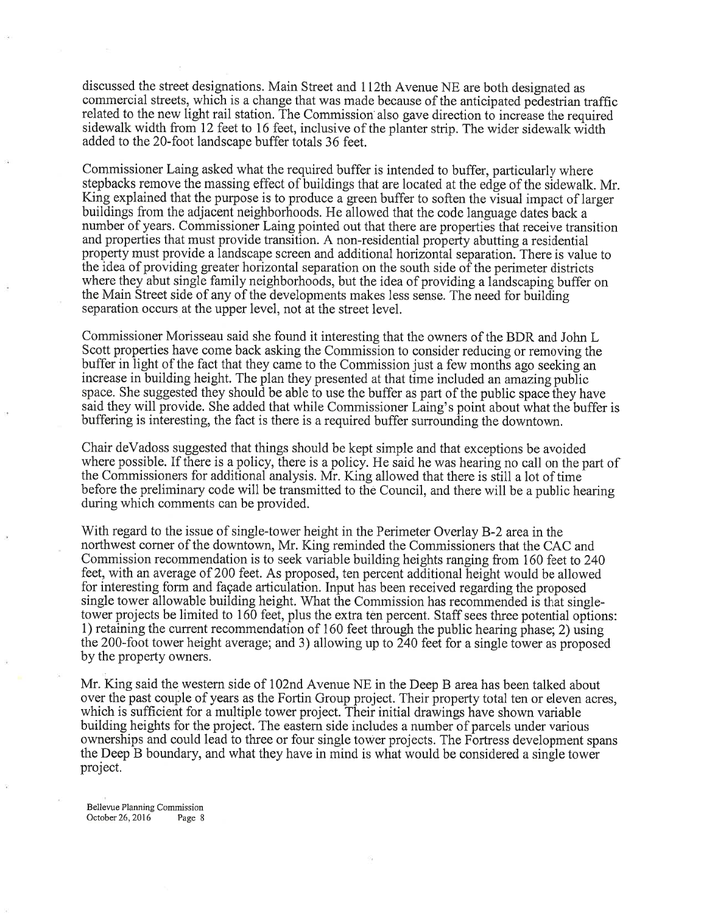discussed the street designations. Main Street and Il2th Avenue NE are both designated as commercial streets, which is a change that was made because of the anticipated pedestrian traffic related to the new light rail station. The Commission also gave direction to increase the required sidewalk width from 12 feet to 16 feet, inclusive of the planter strip. The wider sidewalk width added to the 20-foot landscape buffer totals 36 feet.

Commissioner Laing asked what the required buffer is intended to buffer, particularly where stepbacks remove the massing effect of buildings that are located at the edge of the sidewalk. Mr. King explained that the purpose is to produce a green buffer to soften the visual impact of larger buildings from the adjacent neighborhoods. He allowed that the code language dates back a number of years. Commissioner Laing pointed out that there are properties that receive transition and properties that must provide transition. A non-residential property abutting a residential property must provide a landscape screen and additional horizontal separation. There is value to the idea of providing greater horizontal separation on the south side of the perimeter districts where they abut single family neighborhoods, but the idea of providing a landscaping buffer on the Main Street side of any of the developments makes less sense. The need for building separation occurs at the upper level, not at the street level.

Commissioner Morisseau said she found it interesting that the owners of the BDR and John L Scott properties have come back asking the Commission to consider reducing or removing the buffer in light of the fact that they came to the Commission just a few months ago seeking an increase in building height. The plan they presented at that time included an amazing public space. She suggested they should be able to use the buffer as part of the public space they have said they will provide. She added that while Commissioner Laing's point about what the buffer is buffering is interesting, the fact is there is a required buffer surrounding the downtown.

Chair deVadoss suggested that things should be kept simple and that exceptions be avoided where possible. If there is a policy, there is a policy. He said he was hearing no call on the part of the Commissioners for additional analysis. Mr. King allowed that there is still a lot of timebefore the preliminary code will be transmitted to the Council, and there will be a public hearing during which comments can be provided.

With regard to the issue of single-tower height in the Perimeter Overlay B-2 area in the northwest comer of the downtown, Mr. King reminded the Commissioners that the CAC and Commission recommendation is to seek variable building heights ranging from 160 feet to 240 feet, with an average of 200 feet. As proposed, ten percent additional height would be allowed for interesting form and fagade articulation. Input has been received regarding the proposed single tower allowable building height. What the Commission has recommended is that singletower projects be limited to 160 feet, plus the extra ten percent. Staff sees three potential options: 1) retaining the current recommendation of 160 feet through the public hearing phase; 2) using the 200-foot tower height average; and 3) allowing up to 240 feet for a single tower as proposed by the property owners.

Mr. King said the western side of 102nd Avenue NE in the Deep B area has been talked about over the past couple of years as the Fortin Group project. Their property total ten or eleven acres, which is sufficient for a multiple tower project. Their initial drawings have shown variable building heights for the project. The eastem side includes a number of parcels under various ownerships and could lead to three or four single tower projects. The Fortress development spans the Deep B boundary, and what they have in mind is what would be considered a single tower project.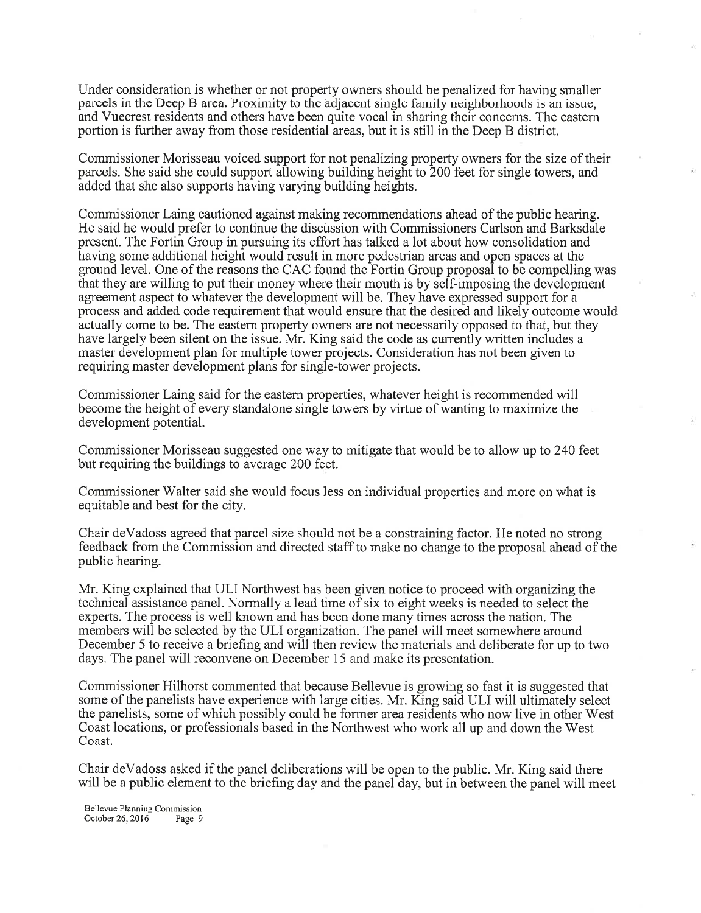Under consideration is whether or not property owners should be penalized for having smaller parcels in the Deep B area. Proximity to the adjacent single family neighborhoods is an issue, and Vuecrest residents and others have been quite vocal in sharing their concerns. The eastem portion is further away from those residential areas, but it is still in the Deep B district.

Commissioner Morisseau voiced support for not penalizing property owners for the size of their parcels. She said she could support allowing building height to 200 feet for single towers, and added that she also supports having varying building heights.

Commissioner Laing cautioned against making recommendations ahead of the public hearing. He said he would prefer to continue the discussion with Commissioners Carlson and Barksdale present. The Fortin Group in pursuing its effort has talked a lot about how consolidation and having some additional height would result in more pedestrian areas and open spaces at the ground level. One of the reasons the CAC found the Fortin Group proposal to be compelling was that they are willing to put their money where their mouth is by self-imposing the development agreement aspect to whatever the development will be. They have expressed support for <sup>a</sup> process and added code requirement that would ensure that the desired and likely outcome would actually come to be. The eastem property owners are not necessarily opposed to that, but they have largely been silent on the issue. Mr. King said the code as currently written includes <sup>a</sup> master development plan for multiple tower projects. Consideration has not been given to requiring master development plans for single-tower projects.

Commissioner Laing said for the eastern properties, whatever height is recommended will become the height of every standalone single towers by virtue of wanting to maximize the development potential.

Commissioner Morisseau suggested one way to mitigate that would be to allow up to 240 feet but requiring the buildings to average 200 feet.

Commissioner Walter said she would focus less on individual properties and more on what is equitable and best for the city.

Chair deVadoss agreed that parcel size should not be a constraining factor. He noted no strong feedback from the Commission and directed staff to make no change to the proposal ahead of the public hearing.

Mr. King explained that ULI Northwest has been given notice to proceed with organizing the technical assistance panel. Normally a lead time of six to eight weeks is needed to select the experts. The process is well known and has been done many times across the nation. The members will be selected by the ULI organization. The panel will meet somewhere around December 5 to receive a briefing and will then review the materials and deliberate for up to two days. The panel will reconvene on December 15 and make its presentation.

Commissioner Hilhorst commented that because Bellevue is growing so fast it is suggested that some of the panelists have experience with large cities. Mr. King said ULI will ultimately select the panelists, some of which possibly could be former area residents who now live in other West Coast locations, or professionals based in the Northwest who work all up and down the West Coast.

Chair deVadoss asked if the panel deliberations will be open to the public. Mr. King said there will be a public element to the briefing day and the panel day, but in between the panel will meet